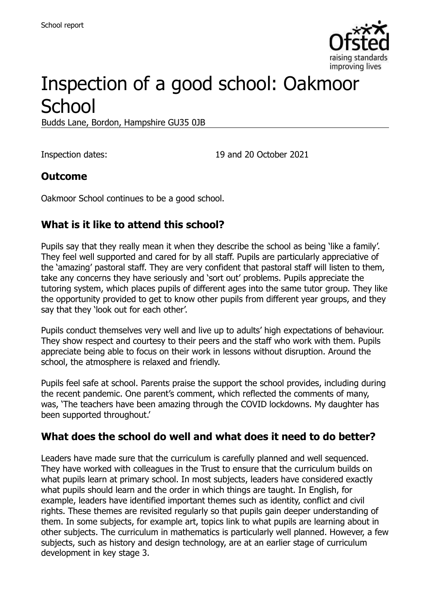

# Inspection of a good school: Oakmoor **School**

Budds Lane, Bordon, Hampshire GU35 0JB

Inspection dates: 19 and 20 October 2021

#### **Outcome**

Oakmoor School continues to be a good school.

# **What is it like to attend this school?**

Pupils say that they really mean it when they describe the school as being 'like a family'. They feel well supported and cared for by all staff. Pupils are particularly appreciative of the 'amazing' pastoral staff. They are very confident that pastoral staff will listen to them, take any concerns they have seriously and 'sort out' problems. Pupils appreciate the tutoring system, which places pupils of different ages into the same tutor group. They like the opportunity provided to get to know other pupils from different year groups, and they say that they 'look out for each other'.

Pupils conduct themselves very well and live up to adults' high expectations of behaviour. They show respect and courtesy to their peers and the staff who work with them. Pupils appreciate being able to focus on their work in lessons without disruption. Around the school, the atmosphere is relaxed and friendly.

Pupils feel safe at school. Parents praise the support the school provides, including during the recent pandemic. One parent's comment, which reflected the comments of many, was, 'The teachers have been amazing through the COVID lockdowns. My daughter has been supported throughout.'

#### **What does the school do well and what does it need to do better?**

Leaders have made sure that the curriculum is carefully planned and well sequenced. They have worked with colleagues in the Trust to ensure that the curriculum builds on what pupils learn at primary school. In most subjects, leaders have considered exactly what pupils should learn and the order in which things are taught. In English, for example, leaders have identified important themes such as identity, conflict and civil rights. These themes are revisited regularly so that pupils gain deeper understanding of them. In some subjects, for example art, topics link to what pupils are learning about in other subjects. The curriculum in mathematics is particularly well planned. However, a few subjects, such as history and design technology, are at an earlier stage of curriculum development in key stage 3.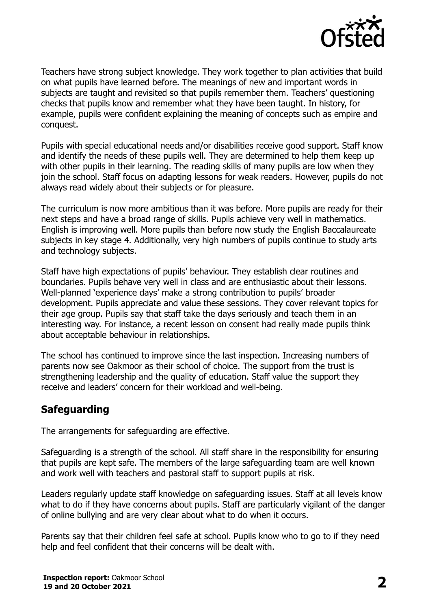

Teachers have strong subject knowledge. They work together to plan activities that build on what pupils have learned before. The meanings of new and important words in subjects are taught and revisited so that pupils remember them. Teachers' questioning checks that pupils know and remember what they have been taught. In history, for example, pupils were confident explaining the meaning of concepts such as empire and conquest.

Pupils with special educational needs and/or disabilities receive good support. Staff know and identify the needs of these pupils well. They are determined to help them keep up with other pupils in their learning. The reading skills of many pupils are low when they join the school. Staff focus on adapting lessons for weak readers. However, pupils do not always read widely about their subjects or for pleasure.

The curriculum is now more ambitious than it was before. More pupils are ready for their next steps and have a broad range of skills. Pupils achieve very well in mathematics. English is improving well. More pupils than before now study the English Baccalaureate subjects in key stage 4. Additionally, very high numbers of pupils continue to study arts and technology subjects.

Staff have high expectations of pupils' behaviour. They establish clear routines and boundaries. Pupils behave very well in class and are enthusiastic about their lessons. Well-planned 'experience days' make a strong contribution to pupils' broader development. Pupils appreciate and value these sessions. They cover relevant topics for their age group. Pupils say that staff take the days seriously and teach them in an interesting way. For instance, a recent lesson on consent had really made pupils think about acceptable behaviour in relationships.

The school has continued to improve since the last inspection. Increasing numbers of parents now see Oakmoor as their school of choice. The support from the trust is strengthening leadership and the quality of education. Staff value the support they receive and leaders' concern for their workload and well-being.

#### **Safeguarding**

The arrangements for safeguarding are effective.

Safeguarding is a strength of the school. All staff share in the responsibility for ensuring that pupils are kept safe. The members of the large safeguarding team are well known and work well with teachers and pastoral staff to support pupils at risk.

Leaders regularly update staff knowledge on safeguarding issues. Staff at all levels know what to do if they have concerns about pupils. Staff are particularly vigilant of the danger of online bullying and are very clear about what to do when it occurs.

Parents say that their children feel safe at school. Pupils know who to go to if they need help and feel confident that their concerns will be dealt with.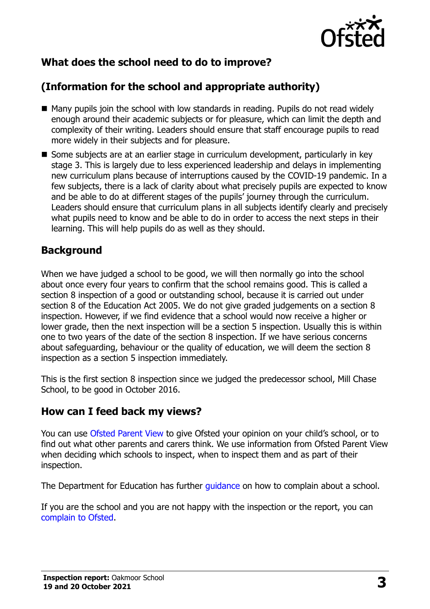

# **What does the school need to do to improve?**

# **(Information for the school and appropriate authority)**

- Many pupils join the school with low standards in reading. Pupils do not read widely enough around their academic subjects or for pleasure, which can limit the depth and complexity of their writing. Leaders should ensure that staff encourage pupils to read more widely in their subjects and for pleasure.
- Some subjects are at an earlier stage in curriculum development, particularly in key stage 3. This is largely due to less experienced leadership and delays in implementing new curriculum plans because of interruptions caused by the COVID-19 pandemic. In a few subjects, there is a lack of clarity about what precisely pupils are expected to know and be able to do at different stages of the pupils' journey through the curriculum. Leaders should ensure that curriculum plans in all subjects identify clearly and precisely what pupils need to know and be able to do in order to access the next steps in their learning. This will help pupils do as well as they should.

### **Background**

When we have judged a school to be good, we will then normally go into the school about once every four years to confirm that the school remains good. This is called a section 8 inspection of a good or outstanding school, because it is carried out under section 8 of the Education Act 2005. We do not give graded judgements on a section 8 inspection. However, if we find evidence that a school would now receive a higher or lower grade, then the next inspection will be a section 5 inspection. Usually this is within one to two years of the date of the section 8 inspection. If we have serious concerns about safeguarding, behaviour or the quality of education, we will deem the section 8 inspection as a section 5 inspection immediately.

This is the first section 8 inspection since we judged the predecessor school, Mill Chase School, to be good in October 2016.

#### **How can I feed back my views?**

You can use [Ofsted Parent View](https://parentview.ofsted.gov.uk/) to give Ofsted your opinion on your child's school, or to find out what other parents and carers think. We use information from Ofsted Parent View when deciding which schools to inspect, when to inspect them and as part of their inspection.

The Department for Education has further quidance on how to complain about a school.

If you are the school and you are not happy with the inspection or the report, you can [complain to Ofsted.](https://www.gov.uk/complain-ofsted-report)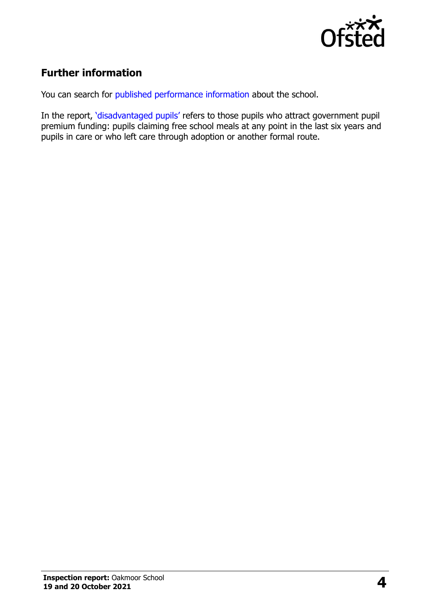

# **Further information**

You can search for [published performance information](http://www.compare-school-performance.service.gov.uk/) about the school.

In the report, '[disadvantaged pupils](http://www.gov.uk/guidance/pupil-premium-information-for-schools-and-alternative-provision-settings)' refers to those pupils who attract government pupil premium funding: pupils claiming free school meals at any point in the last six years and pupils in care or who left care through adoption or another formal route.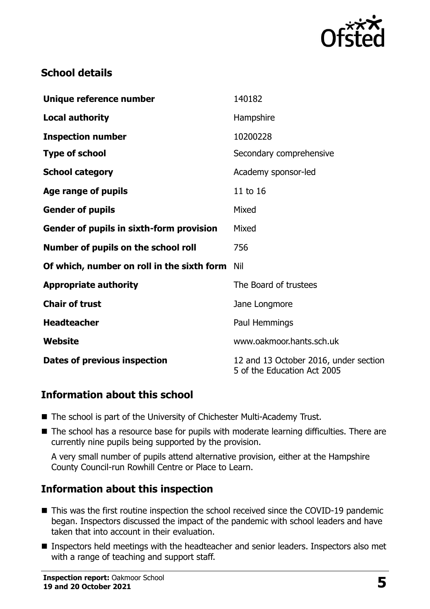

# **School details**

| Unique reference number                    | 140182                                                               |
|--------------------------------------------|----------------------------------------------------------------------|
| <b>Local authority</b>                     | Hampshire                                                            |
| <b>Inspection number</b>                   | 10200228                                                             |
| <b>Type of school</b>                      | Secondary comprehensive                                              |
| <b>School category</b>                     | Academy sponsor-led                                                  |
| Age range of pupils                        | 11 to 16                                                             |
| <b>Gender of pupils</b>                    | Mixed                                                                |
| Gender of pupils in sixth-form provision   | Mixed                                                                |
| Number of pupils on the school roll        | 756                                                                  |
| Of which, number on roll in the sixth form | Nil                                                                  |
| <b>Appropriate authority</b>               | The Board of trustees                                                |
| <b>Chair of trust</b>                      | Jane Longmore                                                        |
| <b>Headteacher</b>                         | Paul Hemmings                                                        |
| Website                                    | www.oakmoor.hants.sch.uk                                             |
| <b>Dates of previous inspection</b>        | 12 and 13 October 2016, under section<br>5 of the Education Act 2005 |

#### **Information about this school**

- The school is part of the University of Chichester Multi-Academy Trust.
- The school has a resource base for pupils with moderate learning difficulties. There are currently nine pupils being supported by the provision.

A very small number of pupils attend alternative provision, either at the Hampshire County Council-run Rowhill Centre or Place to Learn.

#### **Information about this inspection**

- This was the first routine inspection the school received since the COVID-19 pandemic began. Inspectors discussed the impact of the pandemic with school leaders and have taken that into account in their evaluation.
- Inspectors held meetings with the headteacher and senior leaders. Inspectors also met with a range of teaching and support staff.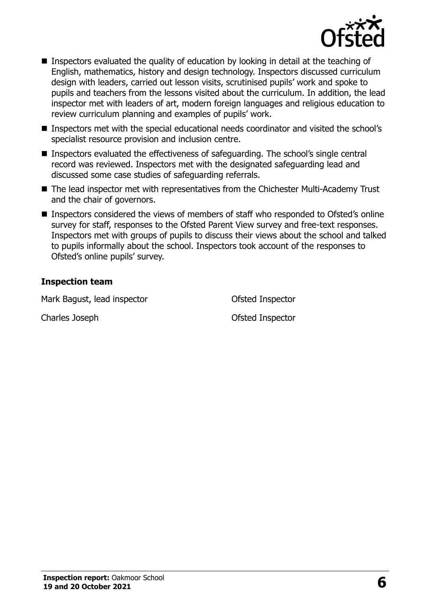

- Inspectors evaluated the quality of education by looking in detail at the teaching of English, mathematics, history and design technology. Inspectors discussed curriculum design with leaders, carried out lesson visits, scrutinised pupils' work and spoke to pupils and teachers from the lessons visited about the curriculum. In addition, the lead inspector met with leaders of art, modern foreign languages and religious education to review curriculum planning and examples of pupils' work.
- Inspectors met with the special educational needs coordinator and visited the school's specialist resource provision and inclusion centre.
- Inspectors evaluated the effectiveness of safeguarding. The school's single central record was reviewed. Inspectors met with the designated safeguarding lead and discussed some case studies of safeguarding referrals.
- The lead inspector met with representatives from the Chichester Multi-Academy Trust and the chair of governors.
- Inspectors considered the views of members of staff who responded to Ofsted's online survey for staff, responses to the Ofsted Parent View survey and free-text responses. Inspectors met with groups of pupils to discuss their views about the school and talked to pupils informally about the school. Inspectors took account of the responses to Ofsted's online pupils' survey.

#### **Inspection team**

Mark Bagust, lead inspector **Nark Bagust**, lead inspector

Charles Joseph Ofsted Inspector